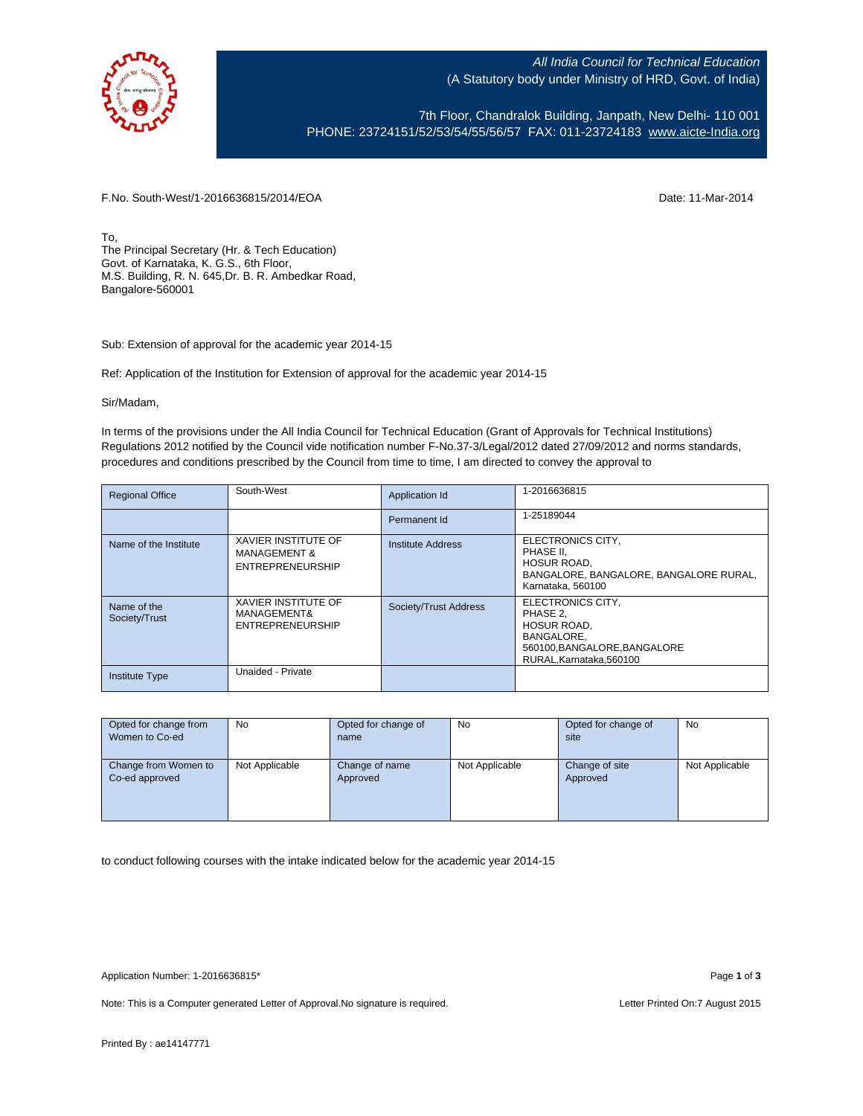

All India Council for Technical Education (A Statutory body under Ministry of HRD, Govt. of India)

7th Floor, Chandralok Building, Janpath, New Delhi- 110 001 PHONE: 23724151/52/53/54/55/56/57 FAX: 011-23724183 [www.aicte-India.org](http://www.aicte-india.org/)

F.No. South-West/1-2016636815/2014/EOA Date: 11-Mar-2014

To, The Principal Secretary (Hr. & Tech Education) Govt. of Karnataka, K. G.S., 6th Floor, M.S. Building, R. N. 645,Dr. B. R. Ambedkar Road, Bangalore-560001

Sub: Extension of approval for the academic year 2014-15

Ref: Application of the Institution for Extension of approval for the academic year 2014-15

Sir/Madam,

In terms of the provisions under the All India Council for Technical Education (Grant of Approvals for Technical Institutions) Regulations 2012 notified by the Council vide notification number F-No.37-3/Legal/2012 dated 27/09/2012 and norms standards, procedures and conditions prescribed by the Council from time to time, I am directed to convey the approval to

| <b>Regional Office</b>       | South-West                                                                       | Application Id           | 1-2016636815                                                                                                                       |
|------------------------------|----------------------------------------------------------------------------------|--------------------------|------------------------------------------------------------------------------------------------------------------------------------|
|                              |                                                                                  | Permanent Id             | 1-25189044                                                                                                                         |
| Name of the Institute        | <b>XAVIER INSTITUTE OF</b><br><b>MANAGEMENT &amp;</b><br><b>ENTREPRENEURSHIP</b> | <b>Institute Address</b> | ELECTRONICS CITY,<br>PHASE II.<br><b>HOSUR ROAD.</b><br>BANGALORE, BANGALORE, BANGALORE RURAL,<br>Karnataka, 560100                |
| Name of the<br>Society/Trust | <b>XAVIER INSTITUTE OF</b><br>MANAGEMENT&<br><b>ENTREPRENEURSHIP</b>             | Society/Trust Address    | ELECTRONICS CITY.<br>PHASE 2.<br><b>HOSUR ROAD.</b><br><b>BANGALORE.</b><br>560100, BANGALORE, BANGALORE<br>RURAL.Karnataka.560100 |
| <b>Institute Type</b>        | Unaided - Private                                                                |                          |                                                                                                                                    |

| Opted for change from<br>Women to Co-ed | No             | Opted for change of<br>name | No             | Opted for change of<br>site | No             |
|-----------------------------------------|----------------|-----------------------------|----------------|-----------------------------|----------------|
| Change from Women to<br>Co-ed approved  | Not Applicable | Change of name<br>Approved  | Not Applicable | Change of site<br>Approved  | Not Applicable |

to conduct following courses with the intake indicated below for the academic year 2014-15

Note: This is a Computer generated Letter of Approval.No signature is required. Letter Printed On:7 August 2015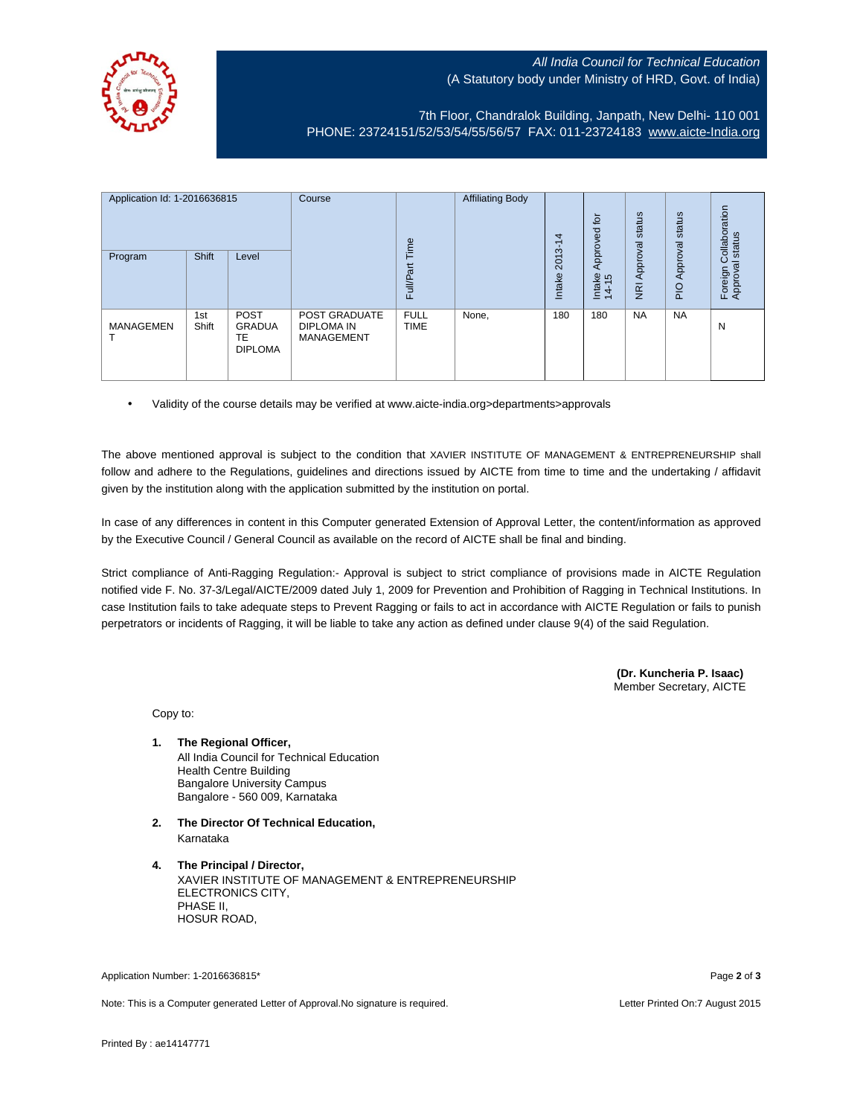## All India Council for Technical Education (A Statutory body under Ministry of HRD, Govt. of India)



7th Floor, Chandralok Building, Janpath, New Delhi- 110 001 PHONE: 23724151/52/53/54/55/56/57 FAX: 011-23724183 [www.aicte-India.org](http://www.aicte-india.org/)

| Application Id: 1-2016636815<br>Program | <b>Shift</b> | Level                                          | Course                                                  | Time<br><b>Full/Part</b>   | <b>Affiliating Body</b> | 4<br>$2013 - 1$<br>Intake | 흐<br>ಠ<br>Approve<br>Intake<br>14-15 | status<br>Approval<br>$\overline{g}$ | status<br>Approval<br>PIO | ollaboration<br>status<br>ပ<br>Foreign C<br>Approval |
|-----------------------------------------|--------------|------------------------------------------------|---------------------------------------------------------|----------------------------|-------------------------|---------------------------|--------------------------------------|--------------------------------------|---------------------------|------------------------------------------------------|
| <b>MANAGEMEN</b>                        | 1st<br>Shift | <b>POST</b><br>GRADUA<br>TE.<br><b>DIPLOMA</b> | <b>POST GRADUATE</b><br>DIPLOMA IN<br><b>MANAGEMENT</b> | <b>FULL</b><br><b>TIME</b> | None,                   | 180                       | 180                                  | <b>NA</b>                            | <b>NA</b>                 | N                                                    |

• Validity of the course details may be verified at www.aicte-india.org>departments>approvals

The above mentioned approval is subject to the condition that XAVIER INSTITUTE OF MANAGEMENT & ENTREPRENEURSHIP shall follow and adhere to the Regulations, guidelines and directions issued by AICTE from time to time and the undertaking / affidavit given by the institution along with the application submitted by the institution on portal.

In case of any differences in content in this Computer generated Extension of Approval Letter, the content/information as approved by the Executive Council / General Council as available on the record of AICTE shall be final and binding.

Strict compliance of Anti-Ragging Regulation:- Approval is subject to strict compliance of provisions made in AICTE Regulation notified vide F. No. 37-3/Legal/AICTE/2009 dated July 1, 2009 for Prevention and Prohibition of Ragging in Technical Institutions. In case Institution fails to take adequate steps to Prevent Ragging or fails to act in accordance with AICTE Regulation or fails to punish perpetrators or incidents of Ragging, it will be liable to take any action as defined under clause 9(4) of the said Regulation.

> **(Dr. Kuncheria P. Isaac)** Member Secretary, AICTE

Copy to:

- **1. The Regional Officer,** All India Council for Technical Education Health Centre Building Bangalore University Campus Bangalore - 560 009, Karnataka
- **2. The Director Of Technical Education,** Karnataka
- **4. The Principal / Director,** XAVIER INSTITUTE OF MANAGEMENT & ENTREPRENEURSHIP ELECTRONICS CITY, PHASE II, HOSUR ROAD,

Application Number: 1-2016636815\* Page **2** of **3**

Note: This is a Computer generated Letter of Approval.No signature is required. Letter Printed On:7 August 2015